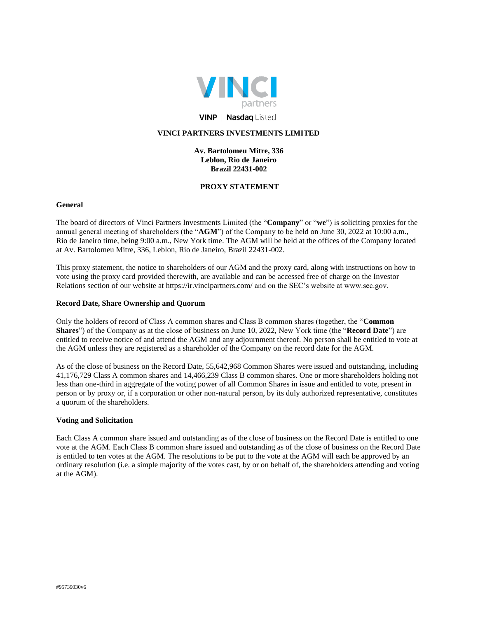

# **VINP | Nasdaq Listed**

# **VINCI PARTNERS INVESTMENTS LIMITED**

## **Av. Bartolomeu Mitre, 336 Leblon, Rio de Janeiro Brazil 22431-002**

## **PROXY STATEMENT**

## **General**

The board of directors of Vinci Partners Investments Limited (the "**Company**" or "**we**") is soliciting proxies for the annual general meeting of shareholders (the "**AGM**") of the Company to be held on June 30, 2022 at 10:00 a.m., Rio de Janeiro time, being 9:00 a.m., New York time. The AGM will be held at the offices of the Company located at Av. Bartolomeu Mitre, 336, Leblon, Rio de Janeiro, Brazil 22431-002.

This proxy statement, the notice to shareholders of our AGM and the proxy card, along with instructions on how to vote using the proxy card provided therewith, are available and can be accessed free of charge on the Investor Relations section of our website at https://ir.vincipartners.com/ and on the SEC's website at www.sec.gov.

#### **Record Date, Share Ownership and Quorum**

Only the holders of record of Class A common shares and Class B common shares (together, the "**Common Shares**") of the Company as at the close of business on June 10, 2022, New York time (the "**Record Date**") are entitled to receive notice of and attend the AGM and any adjournment thereof. No person shall be entitled to vote at the AGM unless they are registered as a shareholder of the Company on the record date for the AGM.

As of the close of business on the Record Date, 55,642,968 Common Shares were issued and outstanding, including 41,176,729 Class A common shares and 14,466,239 Class B common shares. One or more shareholders holding not less than one-third in aggregate of the voting power of all Common Shares in issue and entitled to vote, present in person or by proxy or, if a corporation or other non-natural person, by its duly authorized representative, constitutes a quorum of the shareholders.

#### **Voting and Solicitation**

Each Class A common share issued and outstanding as of the close of business on the Record Date is entitled to one vote at the AGM. Each Class B common share issued and outstanding as of the close of business on the Record Date is entitled to ten votes at the AGM. The resolutions to be put to the vote at the AGM will each be approved by an ordinary resolution (i.e. a simple majority of the votes cast, by or on behalf of, the shareholders attending and voting at the AGM).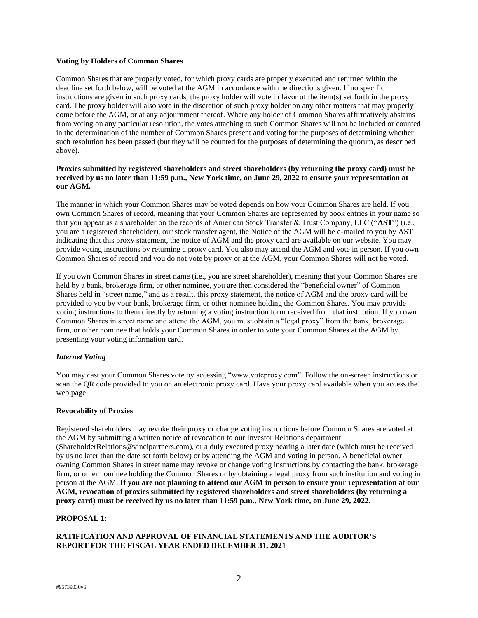#### **Voting by Holders of Common Shares**

Common Shares that are properly voted, for which proxy cards are properly executed and returned within the deadline set forth below, will be voted at the AGM in accordance with the directions given. If no specific instructions are given in such proxy cards, the proxy holder will vote in favor of the item(s) set forth in the proxy card. The proxy holder will also vote in the discretion of such proxy holder on any other matters that may properly come before the AGM, or at any adjournment thereof. Where any holder of Common Shares affirmatively abstains from voting on any particular resolution, the votes attaching to such Common Shares will not be included or counted in the determination of the number of Common Shares present and voting for the purposes of determining whether such resolution has been passed (but they will be counted for the purposes of determining the quorum, as described above).

## **Proxies submitted by registered shareholders and street shareholders (by returning the proxy card) must be received by us no later than 11:59 p.m., New York time, on June 29, 2022 to ensure your representation at our AGM.**

The manner in which your Common Shares may be voted depends on how your Common Shares are held. If you own Common Shares of record, meaning that your Common Shares are represented by book entries in your name so that you appear as a shareholder on the records of American Stock Transfer & Trust Company, LLC ("**AST**") (i.e., you are a registered shareholder), our stock transfer agent, the Notice of the AGM will be e-mailed to you by AST indicating that this proxy statement, the notice of AGM and the proxy card are available on our website. You may provide voting instructions by returning a proxy card. You also may attend the AGM and vote in person. If you own Common Shares of record and you do not vote by proxy or at the AGM, your Common Shares will not be voted.

If you own Common Shares in street name (i.e., you are street shareholder), meaning that your Common Shares are held by a bank, brokerage firm, or other nominee, you are then considered the "beneficial owner" of Common Shares held in "street name," and as a result, this proxy statement, the notice of AGM and the proxy card will be provided to you by your bank, brokerage firm, or other nominee holding the Common Shares. You may provide voting instructions to them directly by returning a voting instruction form received from that institution. If you own Common Shares in street name and attend the AGM, you must obtain a "legal proxy" from the bank, brokerage firm, or other nominee that holds your Common Shares in order to vote your Common Shares at the AGM by presenting your voting information card.

## *Internet Voting*

You may cast your Common Shares vote by accessing "www.voteproxy.com". Follow the on-screen instructions or scan the QR code provided to you on an electronic proxy card. Have your proxy card available when you access the web page.

#### **Revocability of Proxies**

Registered shareholders may revoke their proxy or change voting instructions before Common Shares are voted at the AGM by submitting a written notice of revocation to our Investor Relations department (ShareholderRelations@vincipartners.com), or a duly executed proxy bearing a later date (which must be received by us no later than the date set forth below) or by attending the AGM and voting in person. A beneficial owner owning Common Shares in street name may revoke or change voting instructions by contacting the bank, brokerage firm, or other nominee holding the Common Shares or by obtaining a legal proxy from such institution and voting in person at the AGM. **If you are not planning to attend our AGM in person to ensure your representation at our AGM, revocation of proxies submitted by registered shareholders and street shareholders (by returning a proxy card) must be received by us no later than 11:59 p.m., New York time, on June 29, 2022.**

#### **PROPOSAL 1:**

# **RATIFICATION AND APPROVAL OF FINANCIAL STATEMENTS AND THE AUDITOR'S REPORT FOR THE FISCAL YEAR ENDED DECEMBER 31, 2021**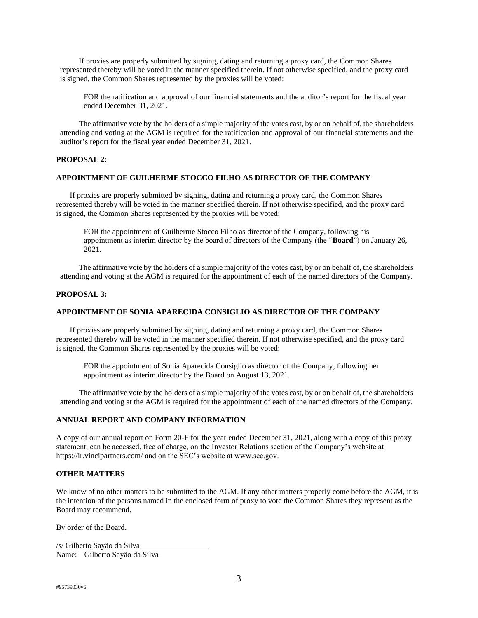If proxies are properly submitted by signing, dating and returning a proxy card, the Common Shares represented thereby will be voted in the manner specified therein. If not otherwise specified, and the proxy card is signed, the Common Shares represented by the proxies will be voted:

FOR the ratification and approval of our financial statements and the auditor's report for the fiscal year ended December 31, 2021.

The affirmative vote by the holders of a simple majority of the votes cast, by or on behalf of, the shareholders attending and voting at the AGM is required for the ratification and approval of our financial statements and the auditor's report for the fiscal year ended December 31, 2021.

## **PROPOSAL 2:**

#### **APPOINTMENT OF GUILHERME STOCCO FILHO AS DIRECTOR OF THE COMPANY**

If proxies are properly submitted by signing, dating and returning a proxy card, the Common Shares represented thereby will be voted in the manner specified therein. If not otherwise specified, and the proxy card is signed, the Common Shares represented by the proxies will be voted:

FOR the appointment of Guilherme Stocco Filho as director of the Company, following his appointment as interim director by the board of directors of the Company (the "**Board**") on January 26, 2021.

The affirmative vote by the holders of a simple majority of the votes cast, by or on behalf of, the shareholders attending and voting at the AGM is required for the appointment of each of the named directors of the Company.

#### **PROPOSAL 3:**

#### **APPOINTMENT OF SONIA APARECIDA CONSIGLIO AS DIRECTOR OF THE COMPANY**

If proxies are properly submitted by signing, dating and returning a proxy card, the Common Shares represented thereby will be voted in the manner specified therein. If not otherwise specified, and the proxy card is signed, the Common Shares represented by the proxies will be voted:

FOR the appointment of Sonia Aparecida Consiglio as director of the Company, following her appointment as interim director by the Board on August 13, 2021.

The affirmative vote by the holders of a simple majority of the votes cast, by or on behalf of, the shareholders attending and voting at the AGM is required for the appointment of each of the named directors of the Company.

#### **ANNUAL REPORT AND COMPANY INFORMATION**

A copy of our annual report on Form 20-F for the year ended December 31, 2021, along with a copy of this proxy statement, can be accessed, free of charge, on the Investor Relations section of the Company's website at https://ir.vincipartners.com/ and on the SEC's website at www.sec.gov.

## **OTHER MATTERS**

We know of no other matters to be submitted to the AGM. If any other matters properly come before the AGM, it is the intention of the persons named in the enclosed form of proxy to vote the Common Shares they represent as the Board may recommend.

By order of the Board.

/s/ Gilberto Sayão da Silva Name: Gilberto Sayão da Silva